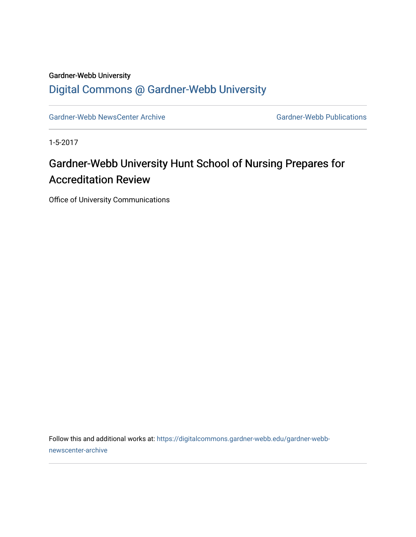## Gardner-Webb University [Digital Commons @ Gardner-Webb University](https://digitalcommons.gardner-webb.edu/)

[Gardner-Webb NewsCenter Archive](https://digitalcommons.gardner-webb.edu/gardner-webb-newscenter-archive) Gardner-Webb Publications

1-5-2017

## Gardner-Webb University Hunt School of Nursing Prepares for Accreditation Review

Office of University Communications

Follow this and additional works at: [https://digitalcommons.gardner-webb.edu/gardner-webb](https://digitalcommons.gardner-webb.edu/gardner-webb-newscenter-archive?utm_source=digitalcommons.gardner-webb.edu%2Fgardner-webb-newscenter-archive%2F701&utm_medium=PDF&utm_campaign=PDFCoverPages)[newscenter-archive](https://digitalcommons.gardner-webb.edu/gardner-webb-newscenter-archive?utm_source=digitalcommons.gardner-webb.edu%2Fgardner-webb-newscenter-archive%2F701&utm_medium=PDF&utm_campaign=PDFCoverPages)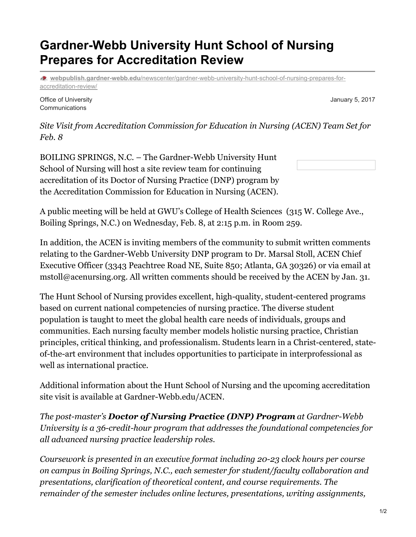## **Gardner-Webb University Hunt School of Nursing Prepares for Accreditation Review**

**webpublish.gardner-webb.edu**[/newscenter/gardner-webb-university-hunt-school-of-nursing-prepares-for](https://webpublish.gardner-webb.edu/newscenter/gardner-webb-university-hunt-school-of-nursing-prepares-for-accreditation-review/)accreditation-review/

Office of University **Communications** 

January 5, 2017

*Site Visit from Accreditation Commission for Education in Nursing (ACEN) Team Set for Feb. 8*

BOILING SPRINGS, N.C. – The Gardner-Webb University Hunt School of Nursing will host a site review team for continuing accreditation of its Doctor of Nursing Practice (DNP) program by the Accreditation Commission for Education in Nursing (ACEN).

A public meeting will be held at GWU's College of Health Sciences (315 W. College Ave., Boiling Springs, N.C.) on Wednesday, Feb. 8, at 2:15 p.m. in Room 259.

In addition, the ACEN is inviting members of the community to submit written comments relating to the Gardner-Webb University DNP program to Dr. Marsal Stoll, ACEN Chief Executive Officer (3343 Peachtree Road NE, Suite 850; Atlanta, GA 30326) or via email at mstoll@acenursing.org. All written comments should be received by the ACEN by Jan. 31.

The Hunt School of Nursing provides excellent, high-quality, student-centered programs based on current national competencies of nursing practice. The diverse student population is taught to meet the global health care needs of individuals, groups and communities. Each nursing faculty member models holistic nursing practice, Christian principles, critical thinking, and professionalism. Students learn in a Christ-centered, stateof-the-art environment that includes opportunities to participate in interprofessional as well as international practice.

Additional information about the Hunt School of Nursing and the upcoming accreditation site visit is available at Gardner-Webb.edu/ACEN.

*The post-master's Doctor of Nursing Practice (DNP) Program at Gardner-Webb University is a 36-credit-hour program that addresses the foundational competencies for all advanced nursing practice leadership roles.*

*Coursework is presented in an executive format including 20-23 clock hours per course on campus in Boiling Springs, N.C., each semester for student/faculty collaboration and presentations, clarification of theoretical content, and course requirements. The remainder of the semester includes online lectures, presentations, writing assignments,*